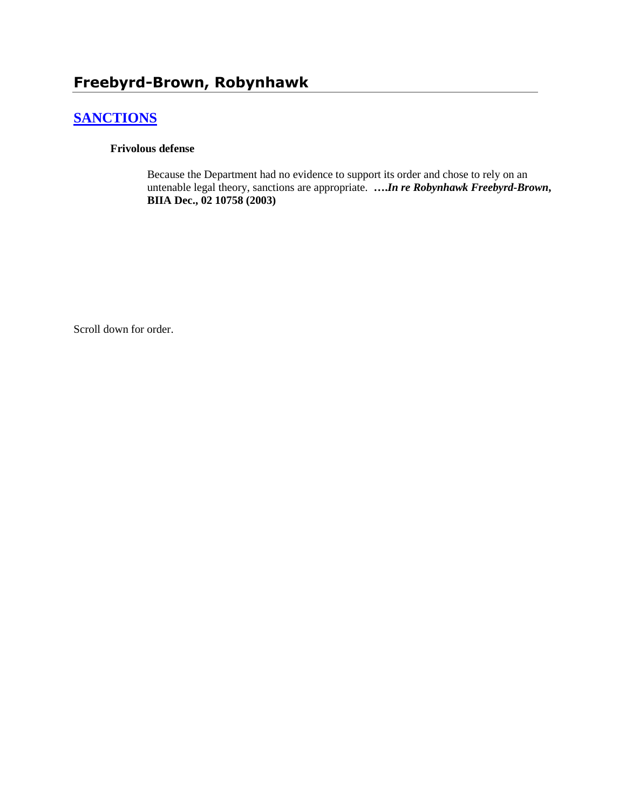# **Freebyrd-Brown, Robynhawk**

## **[SANCTIONS](http://www.biia.wa.gov/SDSubjectIndex.html#SANCTIONS)**

#### **Frivolous defense**

Because the Department had no evidence to support its order and chose to rely on an untenable legal theory, sanctions are appropriate. **….***In re Robynhawk Freebyrd-Brown***, BIIA Dec., 02 10758 (2003)**

Scroll down for order.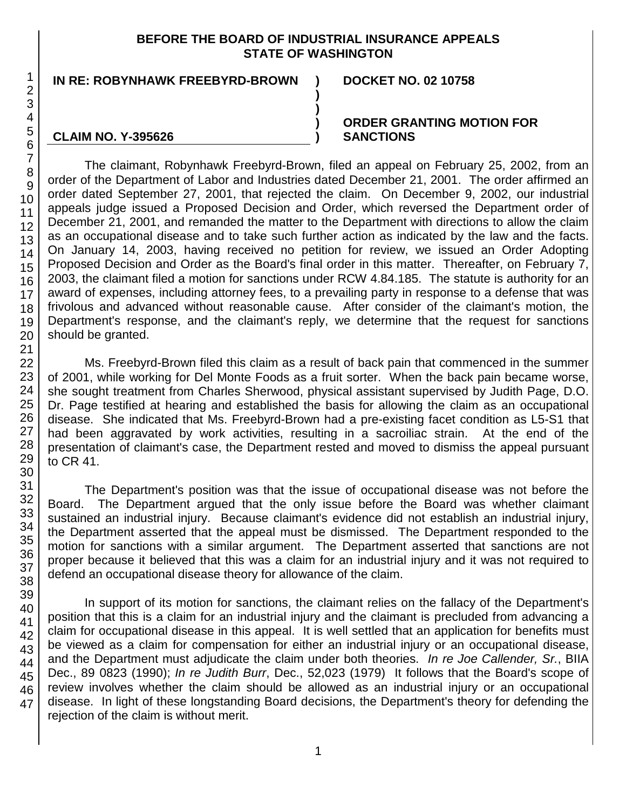#### **BEFORE THE BOARD OF INDUSTRIAL INSURANCE APPEALS STATE OF WASHINGTON**

**)**

**) ) )**

#### **IN RE: ROBYNHAWK FREEBYRD-BROWN ) DOCKET NO. 02 10758**

#### **CLAIM NO. Y-395626**

#### **ORDER GRANTING MOTION FOR SANCTIONS**

The claimant, Robynhawk Freebyrd-Brown, filed an appeal on February 25, 2002, from an order of the Department of Labor and Industries dated December 21, 2001. The order affirmed an order dated September 27, 2001, that rejected the claim. On December 9, 2002, our industrial appeals judge issued a Proposed Decision and Order, which reversed the Department order of December 21, 2001, and remanded the matter to the Department with directions to allow the claim as an occupational disease and to take such further action as indicated by the law and the facts. On January 14, 2003, having received no petition for review, we issued an Order Adopting Proposed Decision and Order as the Board's final order in this matter. Thereafter, on February 7, 2003, the claimant filed a motion for sanctions under RCW 4.84.185. The statute is authority for an award of expenses, including attorney fees, to a prevailing party in response to a defense that was frivolous and advanced without reasonable cause. After consider of the claimant's motion, the Department's response, and the claimant's reply, we determine that the request for sanctions should be granted.

Ms. Freebyrd-Brown filed this claim as a result of back pain that commenced in the summer of 2001, while working for Del Monte Foods as a fruit sorter. When the back pain became worse, she sought treatment from Charles Sherwood, physical assistant supervised by Judith Page, D.O. Dr. Page testified at hearing and established the basis for allowing the claim as an occupational disease. She indicated that Ms. Freebyrd-Brown had a pre-existing facet condition as L5-S1 that had been aggravated by work activities, resulting in a sacroiliac strain. At the end of the presentation of claimant's case, the Department rested and moved to dismiss the appeal pursuant to CR 41.

The Department's position was that the issue of occupational disease was not before the Board. The Department argued that the only issue before the Board was whether claimant sustained an industrial injury. Because claimant's evidence did not establish an industrial injury, the Department asserted that the appeal must be dismissed. The Department responded to the motion for sanctions with a similar argument. The Department asserted that sanctions are not proper because it believed that this was a claim for an industrial injury and it was not required to defend an occupational disease theory for allowance of the claim.

In support of its motion for sanctions, the claimant relies on the fallacy of the Department's position that this is a claim for an industrial injury and the claimant is precluded from advancing a claim for occupational disease in this appeal. It is well settled that an application for benefits must be viewed as a claim for compensation for either an industrial injury or an occupational disease, and the Department must adjudicate the claim under both theories. *In re Joe Callender, Sr.*, BIIA Dec., 89 0823 (1990); *In re Judith Burr*, Dec., 52,023 (1979) It follows that the Board's scope of review involves whether the claim should be allowed as an industrial injury or an occupational disease. In light of these longstanding Board decisions, the Department's theory for defending the rejection of the claim is without merit.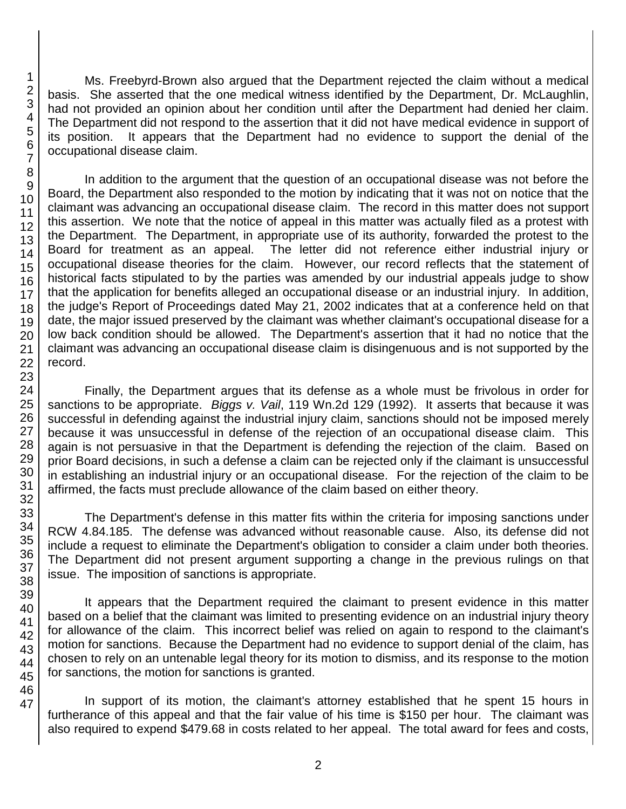Ms. Freebyrd-Brown also argued that the Department rejected the claim without a medical basis. She asserted that the one medical witness identified by the Department, Dr. McLaughlin, had not provided an opinion about her condition until after the Department had denied her claim. The Department did not respond to the assertion that it did not have medical evidence in support of its position. It appears that the Department had no evidence to support the denial of the occupational disease claim.

In addition to the argument that the question of an occupational disease was not before the Board, the Department also responded to the motion by indicating that it was not on notice that the claimant was advancing an occupational disease claim. The record in this matter does not support this assertion. We note that the notice of appeal in this matter was actually filed as a protest with the Department. The Department, in appropriate use of its authority, forwarded the protest to the Board for treatment as an appeal. The letter did not reference either industrial injury or occupational disease theories for the claim. However, our record reflects that the statement of historical facts stipulated to by the parties was amended by our industrial appeals judge to show that the application for benefits alleged an occupational disease or an industrial injury. In addition, the judge's Report of Proceedings dated May 21, 2002 indicates that at a conference held on that date, the major issued preserved by the claimant was whether claimant's occupational disease for a low back condition should be allowed. The Department's assertion that it had no notice that the claimant was advancing an occupational disease claim is disingenuous and is not supported by the record.

Finally, the Department argues that its defense as a whole must be frivolous in order for sanctions to be appropriate. *Biggs v. Vail*, 119 Wn.2d 129 (1992). It asserts that because it was successful in defending against the industrial injury claim, sanctions should not be imposed merely because it was unsuccessful in defense of the rejection of an occupational disease claim. This again is not persuasive in that the Department is defending the rejection of the claim. Based on prior Board decisions, in such a defense a claim can be rejected only if the claimant is unsuccessful in establishing an industrial injury or an occupational disease. For the rejection of the claim to be affirmed, the facts must preclude allowance of the claim based on either theory.

The Department's defense in this matter fits within the criteria for imposing sanctions under RCW 4.84.185. The defense was advanced without reasonable cause. Also, its defense did not include a request to eliminate the Department's obligation to consider a claim under both theories. The Department did not present argument supporting a change in the previous rulings on that issue. The imposition of sanctions is appropriate.

It appears that the Department required the claimant to present evidence in this matter based on a belief that the claimant was limited to presenting evidence on an industrial injury theory for allowance of the claim. This incorrect belief was relied on again to respond to the claimant's motion for sanctions. Because the Department had no evidence to support denial of the claim, has chosen to rely on an untenable legal theory for its motion to dismiss, and its response to the motion for sanctions, the motion for sanctions is granted.

In support of its motion, the claimant's attorney established that he spent 15 hours in furtherance of this appeal and that the fair value of his time is \$150 per hour. The claimant was also required to expend \$479.68 in costs related to her appeal. The total award for fees and costs,